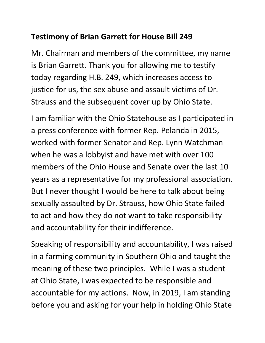## **Testimony of Brian Garrett for House Bill 249**

Mr. Chairman and members of the committee, my name is Brian Garrett. Thank you for allowing me to testify today regarding H.B. 249, which increases access to justice for us, the sex abuse and assault victims of Dr. Strauss and the subsequent cover up by Ohio State.

I am familiar with the Ohio Statehouse as I participated in a press conference with former Rep. Pelanda in 2015, worked with former Senator and Rep. Lynn Watchman when he was a lobbyist and have met with over 100 members of the Ohio House and Senate over the last 10 years as a representative for my professional association. But I never thought I would be here to talk about being sexually assaulted by Dr. Strauss, how Ohio State failed to act and how they do not want to take responsibility and accountability for their indifference.

Speaking of responsibility and accountability, I was raised in a farming community in Southern Ohio and taught the meaning of these two principles. While I was a student at Ohio State, I was expected to be responsible and accountable for my actions. Now, in 2019, I am standing before you and asking for your help in holding Ohio State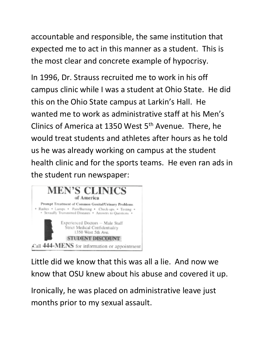accountable and responsible, the same institution that expected me to act in this manner as a student. This is the most clear and concrete example of hypocrisy.

In 1996, Dr. Strauss recruited me to work in his off campus clinic while I was a student at Ohio State. He did this on the Ohio State campus at Larkin's Hall. He wanted me to work as administrative staff at his Men's Clinics of America at 1350 West  $5<sup>th</sup>$  Avenue. There, he would treat students and athletes after hours as he told us he was already working on campus at the student health clinic and for the sports teams. He even ran ads in the student run newspaper:



Little did we know that this was all a lie. And now we know that OSU knew about his abuse and covered it up.

Ironically, he was placed on administrative leave just months prior to my sexual assault.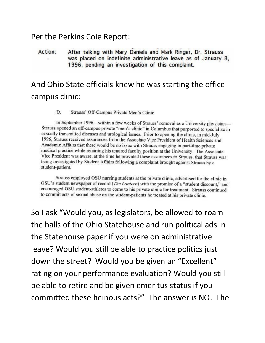### Per the Perkins Coie Report:

### After talking with Mary Daniels and Mark Ringer, Dr. Strauss Action: was placed on indefinite administrative leave as of January 8. 1996, pending an investigation of this complaint.

# And Ohio State officials knew he was starting the office campus clinic:

#### D. Strauss' Off-Campus Private Men's Clinic

In September 1996—within a few weeks of Strauss' removal as a University physician— Strauss opened an off-campus private "men's clinic" in Columbus that purported to specialize in sexually transmitted diseases and urological issues. Prior to opening the clinic, in mid-July 1996, Strauss received assurances from the Associate Vice President of Health Sciences and Academic Affairs that there would be no issue with Strauss engaging in part-time private medical practice while retaining his tenured faculty position at the University. The Associate Vice President was aware, at the time he provided these assurances to Strauss, that Strauss was being investigated by Student Affairs following a complaint brought against Strauss by a student-patient.

Strauss employed OSU nursing students at the private clinic, advertised for the clinic in OSU's student newspaper of record (The Lantern) with the promise of a "student discount," and encouraged OSU student-athletes to come to his private clinic for treatment. Strauss continued to commit acts of sexual abuse on the student-patients he treated at his private clinic.

So I ask "Would you, as legislators, be allowed to roam the halls of the Ohio Statehouse and run political ads in the Statehouse paper if you were on administrative leave? Would you still be able to practice politics just down the street? Would you be given an "Excellent" rating on your performance evaluation? Would you still be able to retire and be given emeritus status if you committed these heinous acts?" The answer is NO. The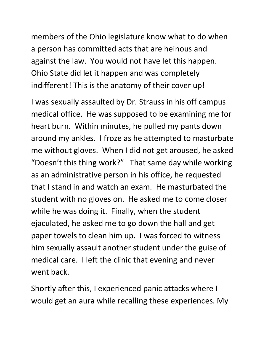members of the Ohio legislature know what to do when a person has committed acts that are heinous and against the law. You would not have let this happen. Ohio State did let it happen and was completely indifferent! This is the anatomy of their cover up!

I was sexually assaulted by Dr. Strauss in his off campus medical office. He was supposed to be examining me for heart burn. Within minutes, he pulled my pants down around my ankles. I froze as he attempted to masturbate me without gloves. When I did not get aroused, he asked "Doesn't this thing work?" That same day while working as an administrative person in his office, he requested that I stand in and watch an exam. He masturbated the student with no gloves on. He asked me to come closer while he was doing it. Finally, when the student ejaculated, he asked me to go down the hall and get paper towels to clean him up. I was forced to witness him sexually assault another student under the guise of medical care. I left the clinic that evening and never went back.

Shortly after this, I experienced panic attacks where I would get an aura while recalling these experiences. My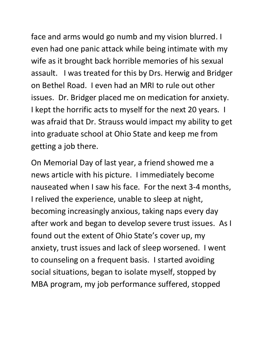face and arms would go numb and my vision blurred. I even had one panic attack while being intimate with my wife as it brought back horrible memories of his sexual assault. I was treated for this by Drs. Herwig and Bridger on Bethel Road. I even had an MRI to rule out other issues. Dr. Bridger placed me on medication for anxiety. I kept the horrific acts to myself for the next 20 years. I was afraid that Dr. Strauss would impact my ability to get into graduate school at Ohio State and keep me from getting a job there.

On Memorial Day of last year, a friend showed me a news article with his picture. I immediately become nauseated when I saw his face. For the next 3-4 months, I relived the experience, unable to sleep at night, becoming increasingly anxious, taking naps every day after work and began to develop severe trust issues. As I found out the extent of Ohio State's cover up, my anxiety, trust issues and lack of sleep worsened. I went to counseling on a frequent basis. I started avoiding social situations, began to isolate myself, stopped by MBA program, my job performance suffered, stopped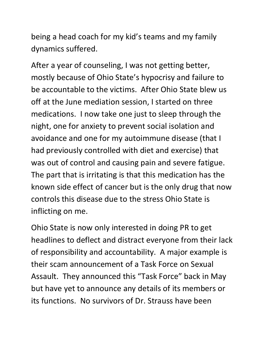being a head coach for my kid's teams and my family dynamics suffered.

After a year of counseling, I was not getting better, mostly because of Ohio State's hypocrisy and failure to be accountable to the victims. After Ohio State blew us off at the June mediation session, I started on three medications. I now take one just to sleep through the night, one for anxiety to prevent social isolation and avoidance and one for my autoimmune disease (that I had previously controlled with diet and exercise) that was out of control and causing pain and severe fatigue. The part that is irritating is that this medication has the known side effect of cancer but is the only drug that now controls this disease due to the stress Ohio State is inflicting on me.

Ohio State is now only interested in doing PR to get headlines to deflect and distract everyone from their lack of responsibility and accountability. A major example is their scam announcement of a Task Force on Sexual Assault. They announced this "Task Force" back in May but have yet to announce any details of its members or its functions. No survivors of Dr. Strauss have been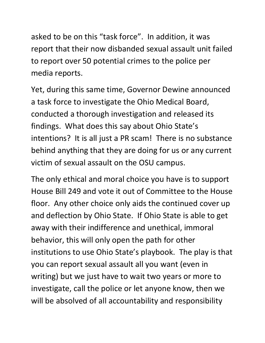asked to be on this "task force". In addition, it was report that their now disbanded sexual assault unit failed to report over 50 potential crimes to the police per media reports.

Yet, during this same time, Governor Dewine announced a task force to investigate the Ohio Medical Board, conducted a thorough investigation and released its findings. What does this say about Ohio State's intentions? It is all just a PR scam! There is no substance behind anything that they are doing for us or any current victim of sexual assault on the OSU campus.

The only ethical and moral choice you have is to support House Bill 249 and vote it out of Committee to the House floor. Any other choice only aids the continued cover up and deflection by Ohio State. If Ohio State is able to get away with their indifference and unethical, immoral behavior, this will only open the path for other institutions to use Ohio State's playbook. The play is that you can report sexual assault all you want (even in writing) but we just have to wait two years or more to investigate, call the police or let anyone know, then we will be absolved of all accountability and responsibility